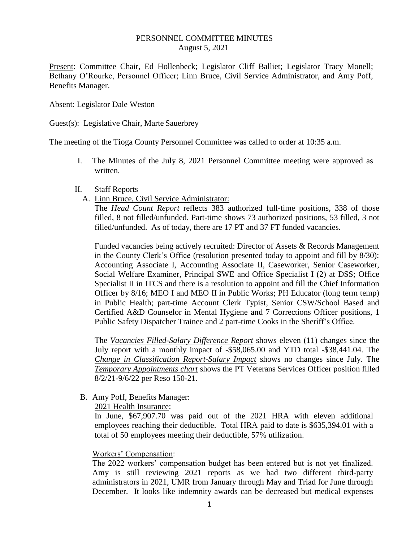#### PERSONNEL COMMITTEE MINUTES August 5, 2021

Present: Committee Chair, Ed Hollenbeck; Legislator Cliff Balliet; Legislator Tracy Monell; Bethany O'Rourke, Personnel Officer; Linn Bruce, Civil Service Administrator, and Amy Poff, Benefits Manager.

Absent: Legislator Dale Weston

Guest(s): Legislative Chair, Marte Sauerbrey

The meeting of the Tioga County Personnel Committee was called to order at 10:35 a.m.

- I. The Minutes of the July 8, 2021 Personnel Committee meeting were approved as written.
- II. Staff Reports
	- A. Linn Bruce, Civil Service Administrator:

The *Head Count Report* reflects 383 authorized full-time positions, 338 of those filled, 8 not filled/unfunded. Part-time shows 73 authorized positions, 53 filled, 3 not filled/unfunded. As of today, there are 17 PT and 37 FT funded vacancies.

Funded vacancies being actively recruited: Director of Assets & Records Management in the County Clerk's Office (resolution presented today to appoint and fill by 8/30); Accounting Associate I, Accounting Associate II, Caseworker, Senior Caseworker, Social Welfare Examiner, Principal SWE and Office Specialist I (2) at DSS; Office Specialist II in ITCS and there is a resolution to appoint and fill the Chief Information Officer by 8/16; MEO I and MEO II in Public Works; PH Educator (long term temp) in Public Health; part-time Account Clerk Typist, Senior CSW/School Based and Certified A&D Counselor in Mental Hygiene and 7 Corrections Officer positions, 1 Public Safety Dispatcher Trainee and 2 part-time Cooks in the Sheriff's Office.

The *Vacancies Filled-Salary Difference Report* shows eleven (11) changes since the July report with a monthly impact of -\$58,065.00 and YTD total -\$38,441.04. The *Change in Classification Report-Salary Impact* shows no changes since July. The *Temporary Appointments chart* shows the PT Veterans Services Officer position filled 8/2/21-9/6/22 per Reso 150-21.

B. Amy Poff, Benefits Manager:

2021 Health Insurance:

In June, \$67,907.70 was paid out of the 2021 HRA with eleven additional employees reaching their deductible. Total HRA paid to date is \$635,394.01 with a total of 50 employees meeting their deductible, 57% utilization.

### Workers' Compensation:

The 2022 workers' compensation budget has been entered but is not yet finalized. Amy is still reviewing 2021 reports as we had two different third-party administrators in 2021, UMR from January through May and Triad for June through December. It looks like indemnity awards can be decreased but medical expenses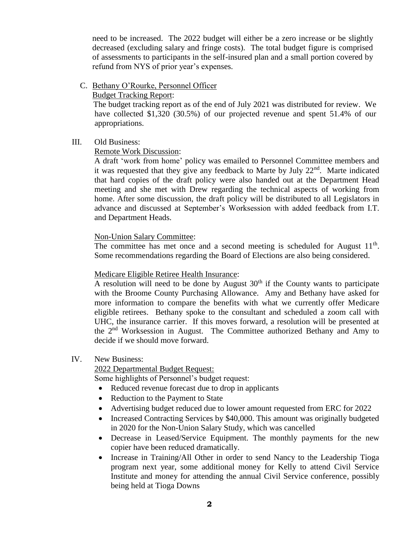need to be increased. The 2022 budget will either be a zero increase or be slightly decreased (excluding salary and fringe costs). The total budget figure is comprised of assessments to participants in the self-insured plan and a small portion covered by refund from NYS of prior year's expenses.

C. Bethany O'Rourke, Personnel Officer

Budget Tracking Report:

 The budget tracking report as of the end of July 2021 was distributed for review. We have collected \$1,320 (30.5%) of our projected revenue and spent 51.4% of our appropriations.

### III. Old Business:

### Remote Work Discussion:

A draft 'work from home' policy was emailed to Personnel Committee members and it was requested that they give any feedback to Marte by July  $22^{nd}$ . Marte indicated that hard copies of the draft policy were also handed out at the Department Head meeting and she met with Drew regarding the technical aspects of working from home. After some discussion, the draft policy will be distributed to all Legislators in advance and discussed at September's Worksession with added feedback from I.T. and Department Heads.

# Non-Union Salary Committee:

The committee has met once and a second meeting is scheduled for August  $11<sup>th</sup>$ . Some recommendations regarding the Board of Elections are also being considered.

## Medicare Eligible Retiree Health Insurance:

A resolution will need to be done by August  $30<sup>th</sup>$  if the County wants to participate with the Broome County Purchasing Allowance. Amy and Bethany have asked for more information to compare the benefits with what we currently offer Medicare eligible retirees. Bethany spoke to the consultant and scheduled a zoom call with UHC, the insurance carrier. If this moves forward, a resolution will be presented at the  $2<sup>nd</sup>$  Worksession in August. The Committee authorized Bethany and Amy to decide if we should move forward.

### IV. New Business:

2022 Departmental Budget Request:

Some highlights of Personnel's budget request:

- Reduced revenue forecast due to drop in applicants
- Reduction to the Payment to State
- Advertising budget reduced due to lower amount requested from ERC for 2022
- Increased Contracting Services by \$40,000. This amount was originally budgeted in 2020 for the Non-Union Salary Study, which was cancelled
- Decrease in Leased/Service Equipment. The monthly payments for the new copier have been reduced dramatically.
- Increase in Training/All Other in order to send Nancy to the Leadership Tioga program next year, some additional money for Kelly to attend Civil Service Institute and money for attending the annual Civil Service conference, possibly being held at Tioga Downs